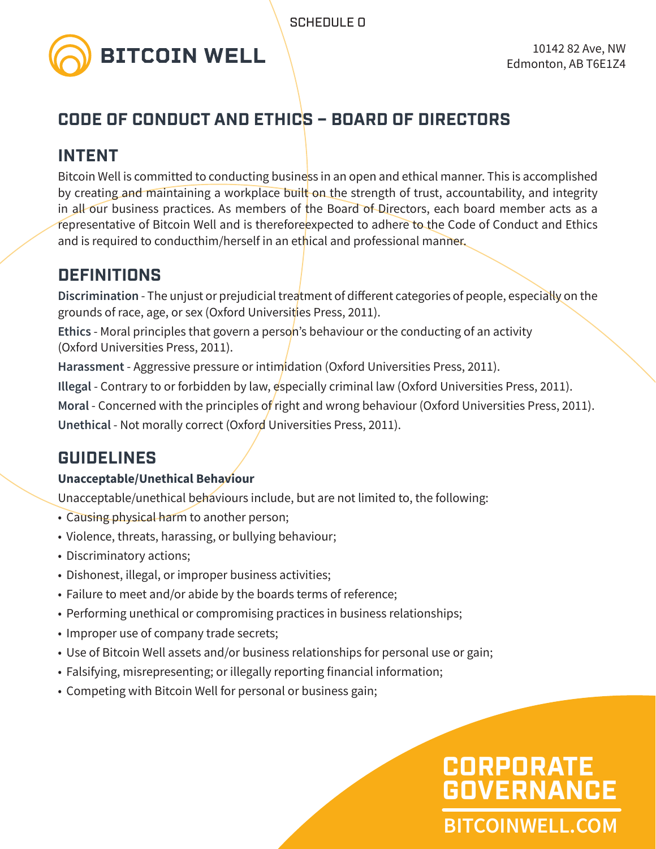

### **CODE OF CONDUCT AND ETHICS – BOARD OF DIRECTORS**

### **INTENT**

Bitcoin Well is committed to conducting business in an open and ethical manner. This is accomplished by creating and maintaining a workplace built on the strength of trust, accountability, and integrity in all our business practices. As members of the Board of Directors, each board member acts as a representative of Bitcoin Well and is thereforeexpected to adhere to the Code of Conduct and Ethics and is required to conducthim/herself in an ethical and professional manner.

### **DEFINITIONS**

**Discrimination** - The unjust or prejudicial treatment of different categories of people, especially on the grounds of race, age, or sex (Oxford Universities Press, 2011).

**Ethics** - Moral principles that govern a person's behaviour or the conducting of an activity (Oxford Universities Press, 2011).

**Harassment** - Aggressive pressure or intimidation (Oxford Universities Press, 2011).

**Illegal** - Contrary to or forbidden by law, especially criminal law (Oxford Universities Press, 2011).

**Moral** - Concerned with the principles of right and wrong behaviour (Oxford Universities Press, 2011).

**Unethical** - Not morally correct (Oxford Universities Press, 2011).

### **GUIDELINES**

#### **Unacceptable/Unethical Behaviour**

Unacceptable/unethical behaviours include, but are not limited to, the following:

- Causing physical harm to another person;
- Violence, threats, harassing, or bullying behaviour;
- Discriminatory actions;
- Dishonest, illegal, or improper business activities;
- Failure to meet and/or abide by the boards terms of reference;
- Performing unethical or compromising practices in business relationships;
- Improper use of company trade secrets;
- Use of Bitcoin Well assets and/or business relationships for personal use or gain;
- Falsifying, misrepresenting; or illegally reporting financial information;
- Competing with Bitcoin Well for personal or business gain;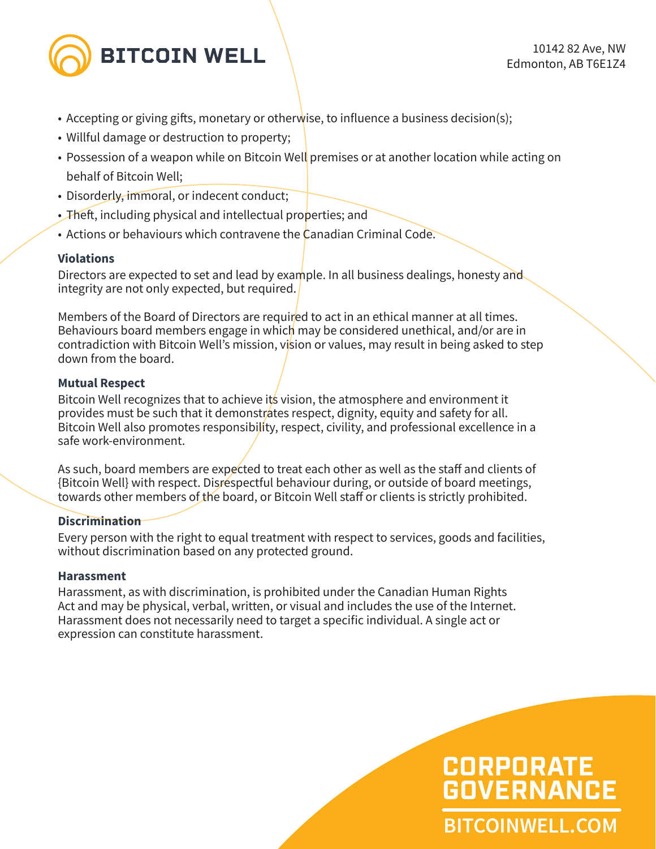

- Accepting or giving gifts, monetary or otherwise, to influence a business decision(s);
- Willful damage or destruction to property;
- Possession of a weapon while on Bitcoin Well premises or at another location while acting on behalf of Bitcoin Well;
- Disorderly, immoral, or indecent conduct;
- Theft, including physical and intellectual properties; and
- Actions or behaviours which contravene the Canadian Criminal Code.

#### **Violations**

Directors are expected to set and lead by example. In all business dealings, honesty and integrity are not only expected, but required.

Members of the Board of Directors are required to act in an ethical manner at all times. Behaviours board members engage in which may be considered unethical, and/or are in contradiction with Bitcoin Well's mission, vision or values, may result in being asked to step down from the board.

#### **Mutual Respect**

Bitcoin Well recognizes that to achieve its vision, the atmosphere and environment it provides must be such that it demonstrates respect, dignity, equity and safety for all. Bitcoin Well also promotes responsibility, respect, civility, and professional excellence in a safe work-environment.

As such, board members are expected to treat each other as well as the staff and clients of {Bitcoin Well} with respect. Disrespectful behaviour during, or outside of board meetings, towards other members of the board, or Bitcoin Well staff or clients is strictly prohibited.

#### **Discrimination**

Every person with the right to equal treatment with respect to services, goods and facilities, without discrimination based on any protected ground.

#### **Harassment**

Harassment, as with discrimination, is prohibited under the Canadian Human Rights Act and may be physical, verbal, written, or visual and includes the use of the Internet. Harassment does not necessarily need to target a specific individual. A single act or expression can constitute harassment.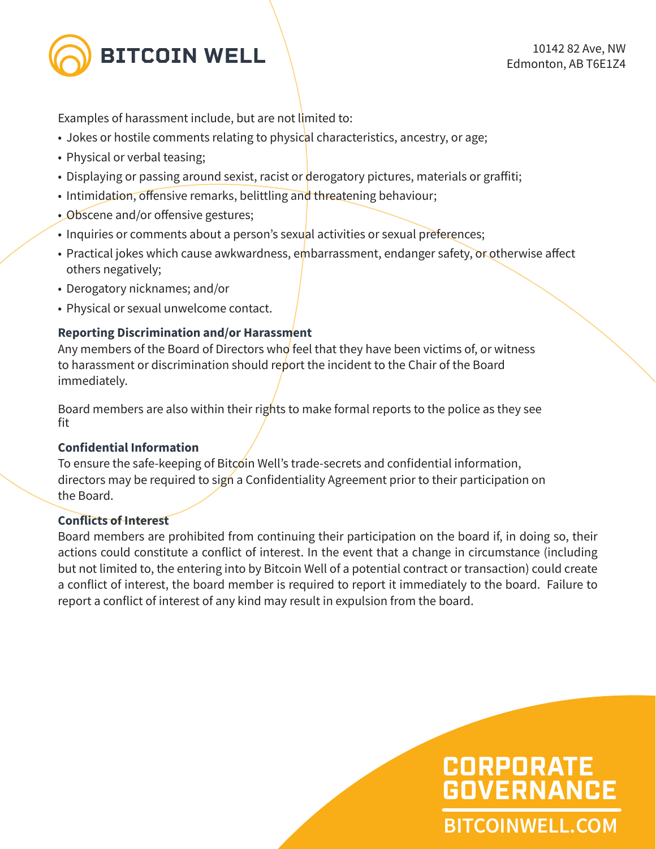

Examples of harassment include, but are not limited to:

- Jokes or hostile comments relating to physical characteristics, ancestry, or age;
- Physical or verbal teasing;
- Displaying or passing around sexist, racist or derogatory pictures, materials or graffiti;
- Intimidation, offensive remarks, belittling and threatening behaviour;
- Obscene and/or offensive gestures;
- Inquiries or comments about a person's sexual activities or sexual preferences;
- Practical jokes which cause awkwardness, embarrassment, endanger safety, or otherwise affect others negatively;
- Derogatory nicknames; and/or
- Physical or sexual unwelcome contact.

#### **Reporting Discrimination and/or Harassment**

Any members of the Board of Directors who feel that they have been victims of, or witness to harassment or discrimination should report the incident to the Chair of the Board immediately.

Board members are also within their rights to make formal reports to the police as they see fit

#### **Confidential Information**

To ensure the safe-keeping of Bitcoin Well's trade-secrets and confidential information, directors may be required to sign a Confidentiality Agreement prior to their participation on the Board.

#### **Conflicts of Interest**

Board members are prohibited from continuing their participation on the board if, in doing so, their actions could constitute a conflict of interest. In the event that a change in circumstance (including but not limited to, the entering into by Bitcoin Well of a potential contract or transaction) could create a conflict of interest, the board member is required to report it immediately to the board. Failure to report a conflict of interest of any kind may result in expulsion from the board.